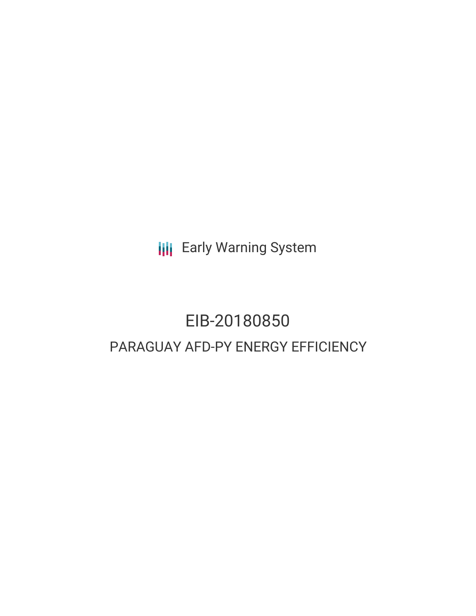**III** Early Warning System

# EIB-20180850 PARAGUAY AFD-PY ENERGY EFFICIENCY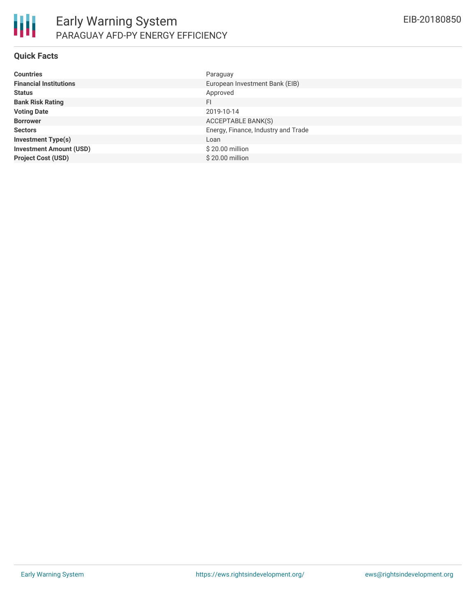

#### **Quick Facts**

| <b>Countries</b>               | Paraguay                            |
|--------------------------------|-------------------------------------|
| <b>Financial Institutions</b>  | European Investment Bank (EIB)      |
| <b>Status</b>                  | Approved                            |
| <b>Bank Risk Rating</b>        | FI                                  |
| <b>Voting Date</b>             | 2019-10-14                          |
| <b>Borrower</b>                | ACCEPTABLE BANK(S)                  |
| <b>Sectors</b>                 | Energy, Finance, Industry and Trade |
| <b>Investment Type(s)</b>      | Loan                                |
| <b>Investment Amount (USD)</b> | \$20.00 million                     |
| <b>Project Cost (USD)</b>      | \$20.00 million                     |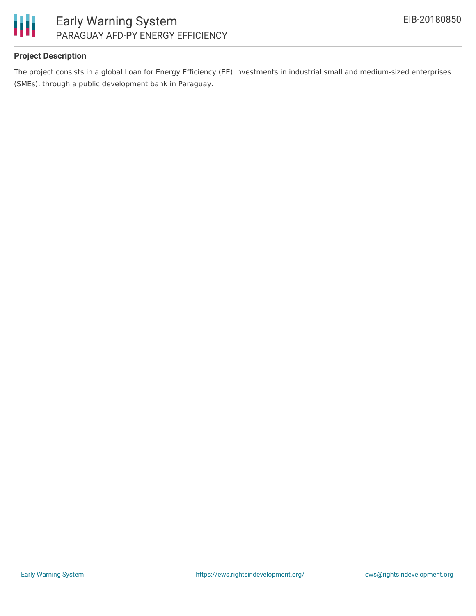

### **Project Description**

The project consists in a global Loan for Energy Efficiency (EE) investments in industrial small and medium-sized enterprises (SMEs), through a public development bank in Paraguay.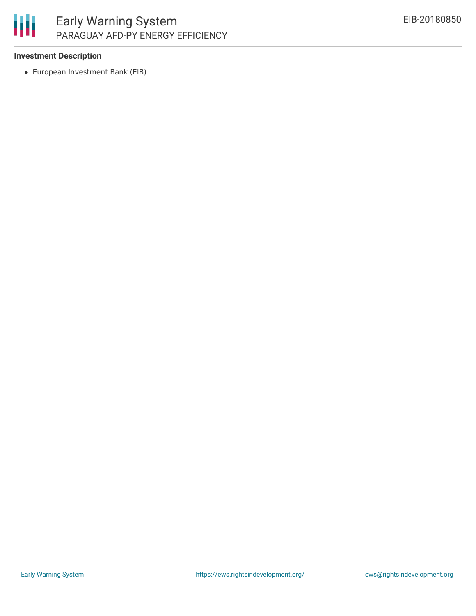

## **Investment Description**

European Investment Bank (EIB)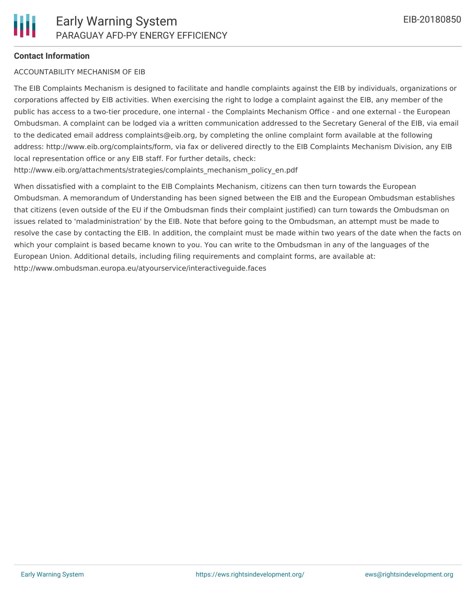## **Contact Information**

#### ACCOUNTABILITY MECHANISM OF EIB

The EIB Complaints Mechanism is designed to facilitate and handle complaints against the EIB by individuals, organizations or corporations affected by EIB activities. When exercising the right to lodge a complaint against the EIB, any member of the public has access to a two-tier procedure, one internal - the Complaints Mechanism Office - and one external - the European Ombudsman. A complaint can be lodged via a written communication addressed to the Secretary General of the EIB, via email to the dedicated email address complaints@eib.org, by completing the online complaint form available at the following address: http://www.eib.org/complaints/form, via fax or delivered directly to the EIB Complaints Mechanism Division, any EIB local representation office or any EIB staff. For further details, check:

http://www.eib.org/attachments/strategies/complaints\_mechanism\_policy\_en.pdf

When dissatisfied with a complaint to the EIB Complaints Mechanism, citizens can then turn towards the European Ombudsman. A memorandum of Understanding has been signed between the EIB and the European Ombudsman establishes that citizens (even outside of the EU if the Ombudsman finds their complaint justified) can turn towards the Ombudsman on issues related to 'maladministration' by the EIB. Note that before going to the Ombudsman, an attempt must be made to resolve the case by contacting the EIB. In addition, the complaint must be made within two years of the date when the facts on which your complaint is based became known to you. You can write to the Ombudsman in any of the languages of the European Union. Additional details, including filing requirements and complaint forms, are available at: http://www.ombudsman.europa.eu/atyourservice/interactiveguide.faces